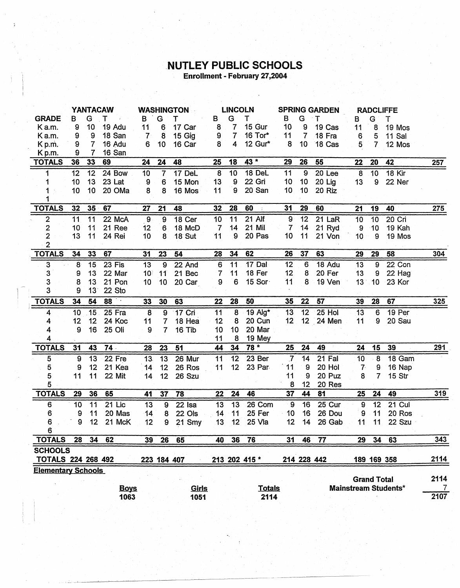## **NUTLEY PUBLIC SCHOOLS**<br>Enrollment - February 27,2004

 $\label{eq:2} \frac{1}{2} \sum_{i=1}^n \frac{1}{2} \sum_{j=1}^n \frac{1}{2} \sum_{j=1}^n \frac{1}{2} \sum_{j=1}^n \frac{1}{2} \sum_{j=1}^n \frac{1}{2} \sum_{j=1}^n \frac{1}{2} \sum_{j=1}^n \frac{1}{2} \sum_{j=1}^n \frac{1}{2} \sum_{j=1}^n \frac{1}{2} \sum_{j=1}^n \frac{1}{2} \sum_{j=1}^n \frac{1}{2} \sum_{j=1}^n \frac{1}{2} \sum_{j=1}^n \frac{1}{$ 

 $\bar{3}$ 

|                           | YANTACAW       |                 |             | <b>WASHINGTON</b> |                 |               | <b>LINCOLN</b>  |                 |                                     | <b>SPRING GARDEN</b> |                 |                   | <b>RADCLIFFE</b> |                    |                             |            |
|---------------------------|----------------|-----------------|-------------|-------------------|-----------------|---------------|-----------------|-----------------|-------------------------------------|----------------------|-----------------|-------------------|------------------|--------------------|-----------------------------|------------|
| <b>GRADE</b>              | B              | G               | т           | в                 | G               | т             | в               | G               | т                                   | в                    | G               | т                 | в                | G                  | т                           |            |
| Ka.m.                     | 9              | 10              | 19 Adu      | 11                | 6               | 17 Car        | 8               | 7               | 15 Gur                              | 10                   | 9               | 19 Cas            | 11               | 8                  | 19 Mos                      |            |
| Ka.m.                     | 9              | 9               | 18 San      | 7                 | 8               | 15 Gig        | 9               | $\overline{7}$  | 16 Tor*                             | 11                   | $\overline{7}$  | 18 Fra            | 6                | 5                  | 11 Sal                      |            |
| K p.m.                    | 9              | 7               | 16 Adu      | 6                 | 10              | 16 Car        | 8               | 4               | 12 Gur*                             | 8                    | 10              | 18 Cas            | $5^{\circ}$      | 7                  | 12 Mos                      |            |
| K <sub>p.m.</sub>         | 9              | 7               | 16 San      |                   |                 |               |                 |                 |                                     |                      |                 |                   |                  |                    |                             |            |
| <b>TOTALS</b>             | 36             | 33              | 69          | 24                | 24              | 48            | 25              | 18              | 43 *                                | 29                   | 26              | 55                | 22               | 20                 | 42                          | <b>257</b> |
| 1                         | 12             | 12              | 24 Bow      | 10                | $\overline{7}$  | 17 DeL        | $\overline{8}$  | 10              | 18 DeL                              | 11                   | $\overline{9}$  | 20 <sub>Lee</sub> | $\overline{8}$   | 10                 | <b>18 Kir</b>               |            |
| 1                         | 10             | 13              | 23 Lat      | 9                 | 6               | 15 Mon        | 13              | 9               | 22 Gri                              | 10                   | 10 <sub>1</sub> | 20 Lig            | 13               | 9                  | 22 Ner                      |            |
|                           | 10             | 10              | 20 OMa      | 8                 | 8               | 16 Mos        | 11              | 9               | 20 San                              | 10                   | 10              | 20 Riz            |                  |                    |                             |            |
|                           |                |                 |             |                   |                 |               |                 |                 |                                     |                      |                 |                   |                  |                    |                             |            |
| <b>TOTALS</b>             | 32             | 35              | 67          | 27                | 21              | 48            | 32              | 28              | 60<br>$\mathcal{C}_{\bullet}^{(2)}$ | 31                   | 29              | 60                | 21               | 19                 | 40                          | 275        |
| $\overline{2}$            | 11             | 11              | 22 McA      | $\overline{9}$    | 9               | 18 Cer        | 10              | 11              | 21 Alf                              | 9                    | $\overline{12}$ | $21$ LaR          | 10               | 10                 | 20 Cri                      |            |
| 2                         | 10             | 11              | 21 Ree      | 12                | 6               | 18 McD        | 7               | 14              | 21 Mil                              | 7                    | 14              | 21 Ryd            | 9                | 10                 | 19 Kah                      |            |
| $\overline{2}$            | 13             | 11              | 24 Rei      | 10                | 8               | <b>18 Sut</b> | 11              | 9               | 20 Pas                              | 10                   | 11              | 21 Von            | 10               | 9                  | 19 Mos                      |            |
| $\overline{\mathbf{c}}$   |                |                 |             |                   |                 |               |                 |                 |                                     |                      |                 |                   |                  |                    |                             |            |
| <b>TOTALS</b>             | 34             | 33              | 67          | 31                | 23              | 54            | 28              | 34              | 62                                  | 26                   | 37              | 63                | 29               | 29                 | 58                          | 304        |
| 3                         | 8 <sup>°</sup> | 15              | $23$ Fis    | $\overline{13}$   | $\overline{9}$  | 22 And        | 6               | 11              | $17$ Dal                            | 12                   | 6               | 18 Adu            | 13               | $\overline{9}$     | 22 Con                      |            |
| 3                         | 9              | 13              | 22 Mar      | 10                | 11              | 21 Bec        | 7               | 11              | 18 Fer                              | 12                   | 8               | 20 Fer            | 13               | 9                  | 22 Hag                      |            |
| 3                         | 8              | 13              | 21 Pon      | 10                | 10 <sub>1</sub> | 20 Car        | 9               | 6               | 15 Sor                              | 11                   | 8               | 19 Ven            | 13               | 10                 | 23 Kor                      |            |
| 3                         | 9              | 13              | 22 Sto      |                   |                 |               |                 |                 |                                     |                      |                 |                   |                  |                    |                             |            |
| <b>TOTALS</b>             | 34             | 54              | 88          | 33                | 30              | 63            | 22              | 28              | 50                                  | 35                   | 22              | 57                | 39               | 28                 | 67                          | 325        |
| 4                         | 10             | 15              | $25$ Fra    | $\overline{8}$    | $9$             | 17 Cri        | 11              | $\overline{8}$  | 19 Alg*                             | 13                   | 12              | 25 Hol            | 13               | 6                  | 19 Per                      |            |
| 4                         | 12             | 12              | 24 Koc      | 11                | $\overline{7}$  | 18 Hea        | 12              | 8               | 20 Cun                              | 12 <sub>2</sub>      |                 | 12 24 Men         | 11               | 9                  | 20 Sau                      |            |
| 4                         | 9              | 16              | 25 Oli      | 9                 | $\overline{7}$  | 16 Tib        | 10              | 10 <sub>1</sub> | 20 Mar                              |                      |                 |                   |                  |                    |                             |            |
| 4                         |                |                 |             |                   |                 |               | 11              | 8               | 19 Mey                              |                      |                 |                   |                  |                    |                             |            |
| <b>TOTALS</b>             | 31             | 43              | $74 -$      | 28                | 23              | 51            | 44              | 34              | $78 *$                              | 25                   | 24              | 49                | 24               | 15                 | 39                          | 291        |
| 5                         | 9              | 13              | 22 Fre      | 13.               | 13              | 26 Mur        | 11              | 12              | 23 Ber                              | $\overline{7}$       | 14              | 21 Fal            | 10               | 8                  | 18 Gam                      |            |
| 5                         | 9              | 12              | 21 Kea      | 14                | 12              | 26 Ros        | 11              | 12              | 23 Par                              | 11                   | 9               | 20 Hol            | 7 <sup>°</sup>   | 9                  | 16 Nap                      |            |
| 5                         | 11             | 11              | 22 Mit      | 14                | 12              | 26 Szu        |                 |                 |                                     | 11                   | 9               | 20 Puz            | 8                | 7                  | 15 Str                      |            |
| 5                         |                |                 |             |                   |                 |               |                 |                 |                                     | 8                    | 12              | 20 Res            |                  |                    |                             |            |
| <b>TOTALS</b>             | 29             | 36              | 65          | 41                | 37              | 78            | 22 <sub>2</sub> | 24              | 46                                  | 37                   | 44              | 81                | 25               | 24                 | 49                          | 319        |
| 6                         | 10             | 11              | $21$ Lic    | $\overline{13}$   | 9               | $22$ Isa      | 13              | 13              | 26 Com                              | ୍ତ                   | 16              | 25 Cur            | 9                | 12                 | $21$ Cul                    |            |
| 6                         | 9              | 11              | 20 Mas      | 14                | 8               | 22 Ols        | 14              | 11              | 25 Fer                              | 10                   | 16              | 26 Dou            | 9                | 11                 | 20 Ros                      |            |
| 6                         | 9              | 12 <sub>2</sub> | 21 McK      | 12                | 9               | 21 Smy        | 13              | 12              | 25 Vla                              | 12                   | 14              | 26 Gab            | 11               | 11                 | 22 Szu                      |            |
| 6                         |                |                 |             |                   |                 |               |                 |                 |                                     |                      |                 |                   |                  |                    |                             |            |
| <b>TOTALS</b>             | 28             | 34              | 62          | 39                | 26              | 65            | 40              | 36              | 76                                  | 31                   | 46              | 77                | 29               | 34                 | 63                          | 343        |
| <b>SCHOOLS</b>            |                |                 |             |                   |                 |               |                 |                 |                                     |                      |                 |                   |                  |                    |                             |            |
| <b>TOTALS 224 268 492</b> |                |                 |             |                   |                 | 223 184 407   |                 |                 | 213 202 415 *                       |                      |                 | 214 228 442       |                  |                    | 189 169 358                 | 2114       |
| <b>Elementary Schools</b> |                |                 |             |                   |                 |               |                 |                 |                                     |                      |                 |                   |                  |                    |                             |            |
|                           |                |                 |             |                   |                 |               |                 |                 |                                     |                      |                 |                   |                  | <b>Grand Total</b> |                             | 2114       |
|                           |                |                 | <b>Boys</b> |                   |                 | Girls         |                 |                 | <b>Totals</b>                       |                      |                 |                   |                  |                    | <b>Mainstream Students*</b> | 7          |
|                           |                |                 | 1063        |                   |                 | 1051          |                 |                 | 2114                                |                      |                 |                   |                  |                    |                             | 2107       |